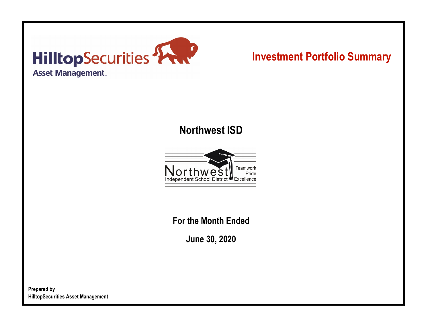

# **Investment Portfolio Summary**

## **Northwest ISD**



**For the Month Ended**

**June 30, 2020**

**Prepared by HilltopSecurities Asset Management**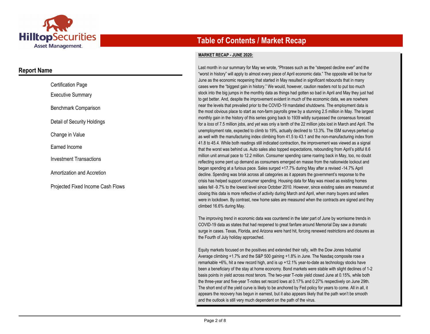

### **Report Name**

| <b>Certification Page</b>         |
|-----------------------------------|
| Executive Summary                 |
| Benchmark Comparison              |
| Detail of Security Holdings       |
| Change in Value                   |
| Earned Income                     |
| <b>Investment Transactions</b>    |
| Amortization and Accretion        |
| Proiected Fixed Income Cash Flows |

## **Table of Contents / Market Recap**

#### **MARKET RECAP - JUNE 2020:**

Last month in our summary for May we wrote, "Phrases such as the "steepest decline ever" and the "worst in history" will apply to almost every piece of April economic data." The opposite will be true for June as the economic reopening that started in May resulted in significant rebounds that in many cases were the "biggest gain in history." We would, however, caution readers not to put too much stock into the big jumps in the monthly data as things had gotten so bad in April and May they just had to get better. And, despite the improvement evident in much of the economic data, we are nowhere near the levels that prevailed prior to the COVID-19 mandated shutdowns. The employment data is the most obvious place to start as non-farm payrolls grew by a stunning 2.5 million in May. The largest monthly gain in the history of this series going back to 1939 wildly surpassed the consensus forecast for a *loss* of 7.5 million jobs, and yet was only a tenth of the 22 million jobs lost in March and April. The unemployment rate, expected to climb to 19%, actually declined to 13.3%. The ISM surveys perked up as well with the manufacturing index climbing from 41.5 to 43.1 and the non-manufacturing index from 41.8 to 45.4. While both readings still indicated contraction, the improvement was viewed as a signal that the worst was behind us. Auto sales also topped expectations, rebounding from April's pitiful 8.6 million unit annual pace to 12.2 million. Consumer spending came roaring back in May, too, no doubt reflecting some pent up demand as consumers emerged en masse from the nationwide lockout and began spending at a furious pace. Sales surged +17.7% during May after a revised -14.7% April decline. Spending was brisk across all categories as it appears the government's response to the crisis has helped support consumer spending. Housing data for May was mixed as existing homes sales fell -9.7% to the lowest level since October 2010. However, since existing sales are measured at closing this data is more reflective of activity during March and April, when many buyers and sellers were in lockdown. By contrast, new home sales are measured when the contracts are signed and they climbed 16.6% during May.

The improving trend in economic data was countered in the later part of June by worrisome trends in COVID-19 data as states that had reopened to great fanfare around Memorial Day saw a dramatic surge in cases. Texas, Florida, and Arizona were hard hit, forcing renewed restrictions and closures as the Fourth of July holiday approached.

Equity markets focused on the positives and extended their rally, with the Dow Jones Industrial Average climbing +1.7% and the S&P 500 gaining +1.8% in June. The Nasdaq composite rose a remarkable +6%, hit a new record high, and is up +12.1% year-to-date as technology stocks have been a beneficiary of the stay at home economy. Bond markets were stable with slight declines of 1-2 basis points in yield across most tenors. The two-year T-note yield closed June at 0.15%, while both the three-year and five-year T-notes set record lows at 0.17% and 0.27% respectively on June 29th. The short end of the yield curve is likely to be anchored by Fed policy for years to come. All in all, it appears the recovery has begun in earnest, but it also appears likely that the path won't be smooth and the outlook is still very much dependent on the path of the virus.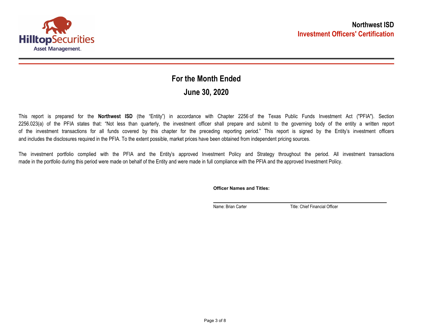

## **June 30, 2020 For the Month Ended**

This report is prepared for the **Northwest ISD** (the "Entity") in accordance with Chapter 2256 of the Texas Public Funds Investment Act ("PFIA"). Section 2256.023(a) of the PFIA states that: "Not less than quarterly, the investment officer shall prepare and submit to the governing body of the entity a written report of the investment transactions for all funds covered by this chapter for the preceding reporting period." This report is signed by the Entity's investment officers and includes the disclosures required in the PFIA. To the extent possible, market prices have been obtained from independent pricing sources.

The investment portfolio complied with the PFIA and the Entity's approved Investment Policy and Strategy throughout the period. All investment transactions made in the portfolio during this period were made on behalf of the Entity and were made in full compliance with the PFIA and the approved Investment Policy.

**Officer Names and Titles:**

Name: Brian Carter Title: Chief Financial Officer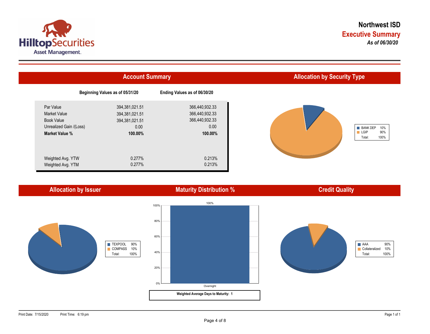



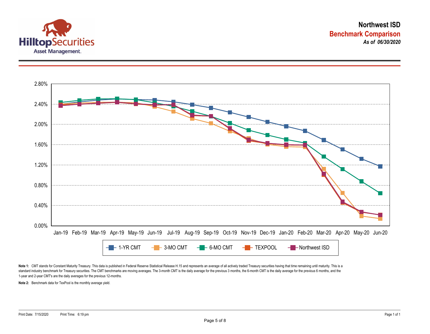



Note 1: CMT stands for Constant Maturity Treasury. This data is published in Federal Reserve Statistical Release H.15 and represents an average of all actively traded Treasury securities having that time remaining until ma standard industry benchmark for Treasury securities. The CMT benchmarks are moving averages. The 3-month CMT is the daily average for the previous 3 months, the 6-month CMT is the daily average for the previous 6 months, a 1-year and 2-year CMT's are the daily averages for the previous 12-months.

**Note 2:** Benchmark data for TexPool is the monthly average yield.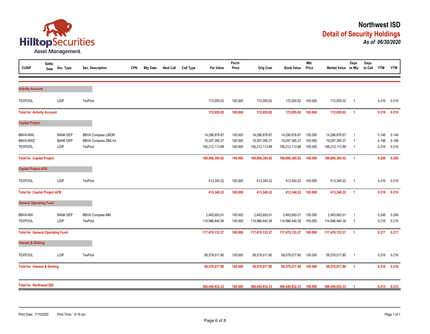

| <b>CUSIP</b>                                         | <b>Settle</b><br>Date | Sec. Type                                  | Sec. Description                                             | <b>CPN</b> | <b>Mty Date</b> | <b>Next Call</b> | Call Type | Par Value                                        | Purch<br>Price                | <b>Orig Cost</b>                                 | <b>Book Value</b>                                | <b>Mkt</b><br>Price           | Market Value to Mty                              | Days                                                      | Days<br>to Call | <b>YTM</b>              | <b>YTW</b>              |
|------------------------------------------------------|-----------------------|--------------------------------------------|--------------------------------------------------------------|------------|-----------------|------------------|-----------|--------------------------------------------------|-------------------------------|--------------------------------------------------|--------------------------------------------------|-------------------------------|--------------------------------------------------|-----------------------------------------------------------|-----------------|-------------------------|-------------------------|
| <b>Activity Account</b>                              |                       |                                            |                                                              |            |                 |                  |           |                                                  |                               |                                                  |                                                  |                               |                                                  |                                                           |                 |                         |                         |
| <b>TEXPOOL</b>                                       |                       | LGIP                                       | TexPool                                                      |            |                 |                  |           | 172,055.02                                       | 100.000                       | 172,055.02                                       | 172,055.02                                       | 100.000                       | 172,055.02                                       | $\overline{1}$                                            |                 | 0.216                   | 0.216                   |
| <b>Total for Activity Account</b>                    |                       |                                            |                                                              |            |                 |                  |           | 172,055.02                                       | 100.000                       | 172,055.02                                       | 172,055.02                                       | 100.000                       | 172,055.02                                       | $\overline{1}$                                            |                 | 0.216                   | 0.216                   |
| <b>Capital Project</b>                               |                       |                                            |                                                              |            |                 |                  |           |                                                  |                               |                                                  |                                                  |                               |                                                  |                                                           |                 |                         |                         |
| <b>BBVA-NWL</b><br><b>BBVA-NWZ</b><br><b>TEXPOOL</b> |                       | <b>BANK DEP</b><br><b>BANK DEP</b><br>LGIP | <b>BBVA Compass LIBOR</b><br>BBVA Compass ZBA Int<br>TexPool |            |                 |                  |           | 14,296,876.67<br>19,297,395.37<br>156,212,113.88 | 100.000<br>100.000<br>100.000 | 14,296,876.67<br>19,297,395.37<br>156,212,113.88 | 14,296,876.67<br>19,297,395.37<br>156,212,113.88 | 100.000<br>100.000<br>100.000 | 14,296,876.67<br>19,297,395.37<br>156,212,113.88 | - 1<br>$\overline{\mathbf{1}}$<br>$\overline{\mathbf{1}}$ |                 | 0.148<br>0.198<br>0.216 | 0.148<br>0.198<br>0.216 |
| <b>Total for Capital Project</b>                     |                       |                                            |                                                              |            |                 |                  |           | 189,806,385.92                                   | 100.000                       | 189,806,385.92                                   | 189,806,385.92                                   | 100.000                       | 189,806,385.92                                   | $\overline{1}$                                            |                 | 0.209                   | 0.209                   |
| <b>Capital Project AFB</b>                           |                       |                                            |                                                              |            |                 |                  |           |                                                  |                               |                                                  |                                                  |                               |                                                  |                                                           |                 |                         |                         |
| <b>TEXPOOL</b>                                       |                       | LGIP                                       | TexPool                                                      |            |                 |                  |           | 413,340.22                                       | 100.000                       | 413,340.22                                       | 413,340.22                                       | 100.000                       | 413,340.22                                       | $\overline{1}$                                            |                 | 0.216                   | 0.216                   |
| <b>Total for Capital Project AFB</b>                 |                       |                                            |                                                              |            |                 |                  |           | 413,340.22                                       | 100.000                       | 413,340.22                                       | 413,340.22                                       | 100.000                       | 413,340.22                                       | $\overline{1}$                                            |                 | 0.216                   | 0.216                   |
| <b>General Operating Fund</b>                        |                       |                                            |                                                              |            |                 |                  |           |                                                  |                               |                                                  |                                                  |                               |                                                  |                                                           |                 |                         |                         |
| <b>BBVA-NW</b><br><b>TEXPOOL</b>                     |                       | <b>BANK DEP</b><br>LGIP                    | <b>BBVA Compass MM</b><br>TexPool                            |            |                 |                  |           | 2,483,693.01<br>114,986,440.36                   | 100.000<br>100.000            | 2,483,693.01<br>114,986,440.36                   | 2,483,693.01<br>114,986,440.36                   | 100.000<br>100.000            | 2,483,693.01<br>114,986,440.36                   | $\overline{1}$<br>- 1                                     |                 | 0.248<br>0.216          | 0.248<br>0.216          |
| <b>Total for General Operating Fund</b>              |                       |                                            |                                                              |            |                 |                  |           | 117,470,133.37                                   | 100.000                       | 117,470,133.37                                   | 117,470,133.37                                   | 100.000                       | 117,470,133.37                                   | $\overline{1}$                                            |                 | 0.217                   | 0.217                   |
| <b>Interest &amp; Sinking</b>                        |                       |                                            |                                                              |            |                 |                  |           |                                                  |                               |                                                  |                                                  |                               |                                                  |                                                           |                 |                         |                         |
| <b>TEXPOOL</b>                                       |                       | LGIP                                       | TexPool                                                      |            |                 |                  |           | 58,579,017.80                                    | 100.000                       | 58,579,017.80                                    | 58,579,017.80                                    | 100.000                       | 58,579,017.80                                    | $\overline{1}$                                            |                 | 0.216                   | 0.216                   |
| <b>Total for Interest &amp; Sinking</b>              |                       |                                            |                                                              |            |                 |                  |           | 58,579,017.80                                    | 100.000                       | 58,579,017.80                                    | 58,579,017.80                                    | 100.000                       | 58,579,017.80                                    | $\overline{1}$                                            |                 | 0.216                   | 0.216                   |
| <b>Total for Northwest ISD</b>                       |                       |                                            |                                                              |            |                 |                  |           | 366,440,932.33                                   | 100.000                       | 366,440,932.33                                   | 366,440,932.33                                   | 100.000                       | 366,440,932.33                                   | -1                                                        |                 | 0.213                   | 0.213                   |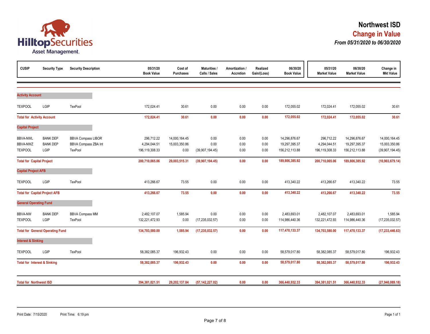

| <b>CUSIP</b>                                  | <b>Security Type</b>                       | <b>Security Description</b>                                  | 05/31/20<br><b>Book Value</b>                | Cost of<br><b>Purchases</b>            | <b>Maturities /</b><br>Calls / Sales | Amortization /<br>Accretion | Realized<br>Gain/(Loss) | 06/30/20<br><b>Book Value</b>                    | 05/31/20<br><b>Market Value</b>              | 06/30/20<br><b>Market Value</b>                  | Change in<br><b>Mkt Value</b>                     |
|-----------------------------------------------|--------------------------------------------|--------------------------------------------------------------|----------------------------------------------|----------------------------------------|--------------------------------------|-----------------------------|-------------------------|--------------------------------------------------|----------------------------------------------|--------------------------------------------------|---------------------------------------------------|
|                                               |                                            |                                                              |                                              |                                        |                                      |                             |                         |                                                  |                                              |                                                  |                                                   |
| <b>Activity Account</b>                       |                                            |                                                              |                                              |                                        |                                      |                             |                         |                                                  |                                              |                                                  |                                                   |
| <b>TEXPOOL</b>                                | LGIP                                       | TexPool                                                      | 172,024.41                                   | 30.61                                  | 0.00                                 | 0.00                        | 0.00                    | 172,055.02                                       | 172,024.41                                   | 172,055.02                                       | 30.61                                             |
| <b>Total for Activity Account</b>             |                                            |                                                              | 172,024.41                                   | 30.61                                  | 0.00                                 | 0.00                        | 0.00                    | 172,055.02                                       | 172,024.41                                   | 172,055.02                                       | 30.61                                             |
| <b>Capital Project</b>                        |                                            |                                                              |                                              |                                        |                                      |                             |                         |                                                  |                                              |                                                  |                                                   |
| <b>BBVA-NWL</b><br>BBVA-NWZ<br><b>TEXPOOL</b> | <b>BANK DEP</b><br><b>BANK DEP</b><br>LGIP | <b>BBVA Compass LIBOR</b><br>BBVA Compass ZBA Int<br>TexPool | 296,712.22<br>4,294,044.51<br>196,119,308.33 | 14,000,164.45<br>15,003,350.86<br>0.00 | 0.00<br>0.00<br>(39,907,194.45)      | 0.00<br>0.00<br>$0.00\,$    | 0.00<br>0.00<br>0.00    | 14,296,876.67<br>19,297,395.37<br>156,212,113.88 | 296,712.22<br>4,294,044.51<br>196,119,308.33 | 14,296,876.67<br>19,297,395.37<br>156,212,113.88 | 14,000,164.45<br>15,003,350.86<br>(39,907,194.45) |
| <b>Total for Capital Project</b>              |                                            |                                                              | 200,710,065.06                               | 29,003,515.31                          | (39,907,194.45)                      | 0.00                        | 0.00                    | 189,806,385.92                                   | 200,710,065.06                               | 189,806,385.92                                   | (10,903,679.14)                                   |
| <b>Capital Project AFB</b>                    |                                            |                                                              |                                              |                                        |                                      |                             |                         |                                                  |                                              |                                                  |                                                   |
| <b>TEXPOOL</b>                                | LGIP                                       | TexPool                                                      | 413,266.67                                   | 73.55                                  | 0.00                                 | 0.00                        | 0.00                    | 413,340.22                                       | 413,266.67                                   | 413,340.22                                       | 73.55                                             |
|                                               | <b>Total for Capital Project AFB</b>       |                                                              | 413,266.67                                   | 73.55                                  | 0.00                                 | 0.00                        | 0.00                    | 413,340.22                                       | 413,266.67                                   | 413,340.22                                       | 73.55                                             |
| <b>General Operating Fund</b>                 |                                            |                                                              |                                              |                                        |                                      |                             |                         |                                                  |                                              |                                                  |                                                   |
| <b>BBVA-NW</b><br><b>TEXPOOL</b>              | <b>BANK DEP</b><br>LGIP                    | <b>BBVA Compass MM</b><br>TexPool                            | 2,482,107.07<br>132,221,472.93               | 1,585.94<br>0.00                       | 0.00<br>(17, 235, 032.57)            | 0.00<br>0.00                | 0.00<br>0.00            | 2,483,693.01<br>114,986,440.36                   | 2,482,107.07<br>132,221,472.93               | 2,483,693.01<br>114,986,440.36                   | 1,585.94<br>(17, 235, 032.57)                     |
|                                               | <b>Total for General Operating Fund</b>    |                                                              | 134,703,580.00                               | 1,585.94                               | (17, 235, 032.57)                    | 0.00                        | 0.00                    | 117,470,133.37                                   | 134,703,580.00                               | 117,470,133.37                                   | (17, 233, 446.63)                                 |
| <b>Interest &amp; Sinking</b>                 |                                            |                                                              |                                              |                                        |                                      |                             |                         |                                                  |                                              |                                                  |                                                   |
| <b>TEXPOOL</b>                                | LGIP                                       | TexPool                                                      | 58,382,085.37                                | 196,932.43                             | 0.00                                 | 0.00                        | 0.00                    | 58,579,017.80                                    | 58,382,085.37                                | 58,579,017.80                                    | 196,932.43                                        |
| <b>Total for Interest &amp; Sinking</b>       |                                            |                                                              | 58,382,085.37                                | 196,932.43                             | 0.00                                 | 0.00                        | 0.00                    | 58,579,017.80                                    | 58,382,085.37                                | 58,579,017.80                                    | 196,932.43                                        |
| <b>Total for Northwest ISD</b>                |                                            |                                                              | 394,381,021.51                               | 29,202,137.84                          | (57, 142, 227.02)                    | 0.00                        | 0.00                    | 366,440,932.33                                   | 394,381,021.51                               | 366,440,932.33                                   | (27,940,089.18)                                   |